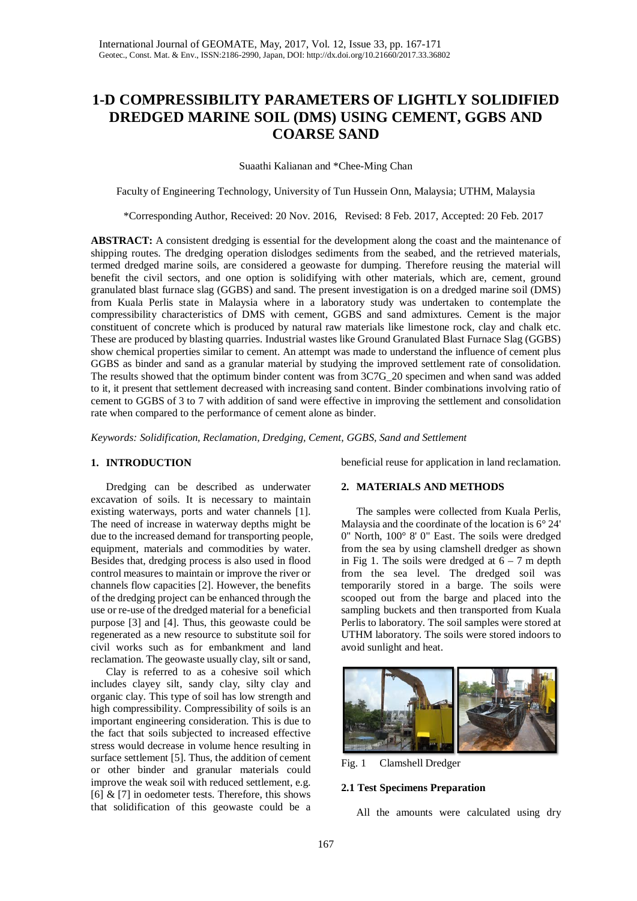# **1-D COMPRESSIBILITY PARAMETERS OF LIGHTLY SOLIDIFIED DREDGED MARINE SOIL (DMS) USING CEMENT, GGBS AND COARSE SAND**

Suaathi Kalianan and \*Chee-Ming Chan

Faculty of Engineering Technology, University of Tun Hussein Onn, Malaysia; UTHM, Malaysia

\*Corresponding Author, Received: 20 Nov. 2016, Revised: 8 Feb. 2017, Accepted: 20 Feb. 2017

**ABSTRACT:** A consistent dredging is essential for the development along the coast and the maintenance of shipping routes. The dredging operation dislodges sediments from the seabed, and the retrieved materials, termed dredged marine soils, are considered a geowaste for dumping. Therefore reusing the material will benefit the civil sectors, and one option is solidifying with other materials, which are, cement, ground granulated blast furnace slag (GGBS) and sand. The present investigation is on a dredged marine soil (DMS) from Kuala Perlis state in Malaysia where in a laboratory study was undertaken to contemplate the compressibility characteristics of DMS with cement, GGBS and sand admixtures. Cement is the major constituent of concrete which is produced by natural raw materials like limestone rock, clay and chalk etc. These are produced by blasting quarries. Industrial wastes like Ground Granulated Blast Furnace Slag (GGBS) show chemical properties similar to cement. An attempt was made to understand the influence of cement plus GGBS as binder and sand as a granular material by studying the improved settlement rate of consolidation. The results showed that the optimum binder content was from 3C7G\_20 specimen and when sand was added to it, it present that settlement decreased with increasing sand content. Binder combinations involving ratio of cement to GGBS of 3 to 7 with addition of sand were effective in improving the settlement and consolidation rate when compared to the performance of cement alone as binder.

*Keywords: Solidification, Reclamation, Dredging, Cement, GGBS, Sand and Settlement*

## **1. INTRODUCTION**

Dredging can be described as underwater excavation of soils. It is necessary to maintain existing waterways, ports and water channels [1]. The need of increase in waterway depths might be due to the increased demand for transporting people, equipment, materials and commodities by water. Besides that, dredging process is also used in flood control measures to maintain or improve the river or channels flow capacities [2]. However, the benefits of the dredging project can be enhanced through the use or re-use of the dredged material for a beneficial purpose [3] and [4]. Thus, this geowaste could be regenerated as a new resource to substitute soil for civil works such as for embankment and land reclamation. The geowaste usually clay, silt or sand,

Clay is referred to as a cohesive soil which includes clayey silt, sandy clay, silty clay and organic clay. This type of soil has low strength and high compressibility. Compressibility of soils is an important engineering consideration. This is due to the fact that soils subjected to increased effective stress would decrease in volume hence resulting in surface settlement [5]. Thus, the addition of cement or other binder and granular materials could improve the weak soil with reduced settlement, e.g. [6]  $&$  [7] in oedometer tests. Therefore, this shows that solidification of this geowaste could be a

beneficial reuse for application in land reclamation.

# **2. MATERIALS AND METHODS**

The samples were collected from Kuala Perlis, Malaysia and the coordinate of the location is 6° 24' 0" North, 100° 8' 0" East. The soils were dredged from the sea by using clamshell dredger as shown in Fig 1. The soils were dredged at  $6 - 7$  m depth from the sea level. The dredged soil was temporarily stored in a barge. The soils were scooped out from the barge and placed into the sampling buckets and then transported from Kuala Perlis to laboratory. The soil samples were stored at UTHM laboratory. The soils were stored indoors to avoid sunlight and heat.



Fig. 1 Clamshell Dredger

#### **2.1 Test Specimens Preparation**

All the amounts were calculated using dry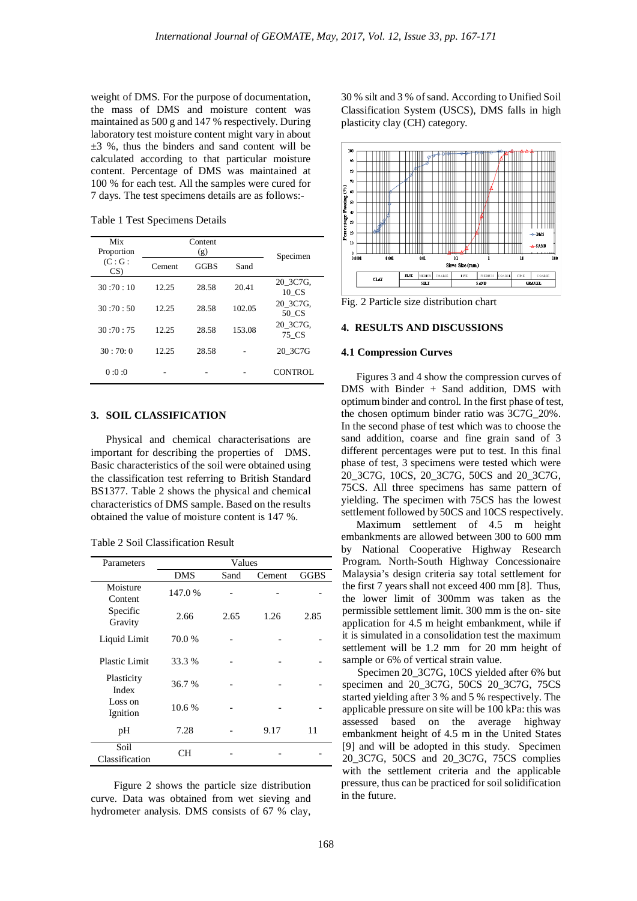weight of DMS. For the purpose of documentation, the mass of DMS and moisture content was maintained as 500 g and 147 % respectively. During laboratory test moisture content might vary in about  $\pm 3$  %, thus the binders and sand content will be calculated according to that particular moisture content. Percentage of DMS was maintained at 100 % for each test. All the samples were cured for 7 days. The test specimens details are as follows:-

Table 1 Test Specimens Details

| Mix         |        |             |        |                   |  |
|-------------|--------|-------------|--------|-------------------|--|
| Proportion  |        |             |        |                   |  |
| (C:G:<br>CS | Cement | <b>GGBS</b> | Sand   | Specimen          |  |
| 30:70:10    | 12.25  | 28.58       | 20.41  | 20 3C7G.<br>10 CS |  |
| 30:70:50    | 12.25  | 28.58       | 102.05 | 20 3C7G.<br>50 CS |  |
| 30:70:75    | 12.25  | 28.58       | 153.08 | 20 3C7G.<br>75 CS |  |
| 30:70:0     | 12.25  | 28.58       |        | 20 3C7G           |  |
| 0:0:0       |        |             |        | CONTROL           |  |

# **3. SOIL CLASSIFICATION**

Physical and chemical characterisations are important for describing the properties of DMS. Basic characteristics of the soil were obtained using the classification test referring to British Standard BS1377. Table 2 shows the physical and chemical characteristics of DMS sample. Based on the results obtained the value of moisture content is 147 %.

Table 2 Soil Classification Result

| Parameters                                 | Values     |      |        |             |  |
|--------------------------------------------|------------|------|--------|-------------|--|
|                                            | <b>DMS</b> | Sand | Cement | <b>GGBS</b> |  |
| Moisture<br>Content<br>Specific<br>Gravity | 147.0 %    |      |        |             |  |
|                                            | 2.66       | 2.65 | 1.26   | 2.85        |  |
| Liquid Limit                               | 70.0%      |      |        |             |  |
| <b>Plastic Limit</b>                       | 33.3 %     |      |        |             |  |
| Plasticity<br>Index                        | 36.7 %     |      |        |             |  |
| Loss on<br>Ignition                        | 10.6%      |      |        |             |  |
| pH                                         | 7.28       |      | 9.17   | 11          |  |
| Soil<br>Classification                     | CН         |      |        |             |  |

Figure 2 shows the particle size distribution curve. Data was obtained from wet sieving and hydrometer analysis. DMS consists of 67 % clay, 30 % silt and 3 % of sand. According to Unified Soil Classification System (USCS), DMS falls in high plasticity clay (CH) category.



Fig. 2 Particle size distribution chart

### **4. RESULTS AND DISCUSSIONS**

#### **4.1 Compression Curves**

Figures 3 and 4 show the compression curves of DMS with Binder + Sand addition, DMS with optimum binder and control. In the first phase of test, the chosen optimum binder ratio was 3C7G\_20%. In the second phase of test which was to choose the sand addition, coarse and fine grain sand of 3 different percentages were put to test. In this final phase of test, 3 specimens were tested which were 20\_3C7G, 10CS, 20\_3C7G, 50CS and 20\_3C7G, 75CS. All three specimens has same pattern of yielding. The specimen with 75CS has the lowest settlement followed by 50CS and 10CS respectively.

Maximum settlement of 4.5 m height embankments are allowed between 300 to 600 mm by National Cooperative Highway Research Program. North-South Highway Concessionaire Malaysia's design criteria say total settlement for the first 7 years shall not exceed 400 mm [8]. Thus, the lower limit of 300mm was taken as the permissible settlement limit. 300 mm is the on- site application for 4.5 m height embankment, while if it is simulated in a consolidation test the maximum settlement will be 1.2 mm for 20 mm height of sample or 6% of vertical strain value.

Specimen 20\_3C7G, 10CS yielded after 6% but specimen and 20\_3C7G, 50CS 20\_3C7G, 75CS started yielding after 3 % and 5 % respectively. The applicable pressure on site will be 100 kPa: this was assessed based on the average highway embankment height of 4.5 m in the United States [9] and will be adopted in this study. Specimen 20\_3C7G, 50CS and 20\_3C7G, 75CS complies with the settlement criteria and the applicable pressure, thus can be practiced for soil solidification in the future.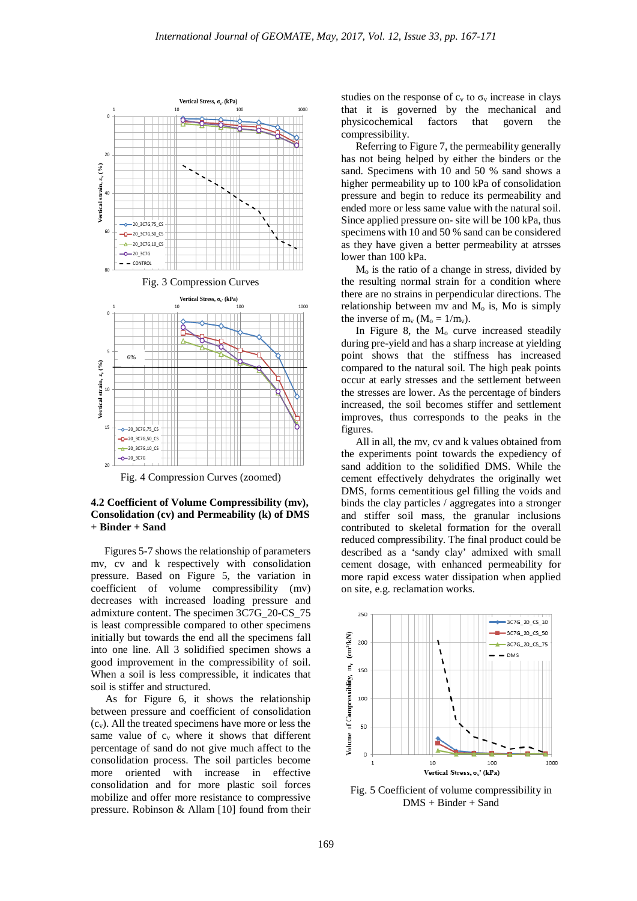

**4.2 Coefficient of Volume Compressibility (mv), Consolidation (cv) and Permeability (k) of DMS + Binder + Sand**

 Figures 5-7 shows the relationship of parameters mv, cv and k respectively with consolidation pressure. Based on Figure 5, the variation in coefficient of volume compressibility (mv) decreases with increased loading pressure and admixture content. The specimen 3C7G\_20-CS\_75 is least compressible compared to other specimens initially but towards the end all the specimens fall into one line. All 3 solidified specimen shows a good improvement in the compressibility of soil. When a soil is less compressible, it indicates that soil is stiffer and structured.

As for Figure 6, it shows the relationship between pressure and coefficient of consolidation (cv). All the treated specimens have more or less the same value of  $c_v$  where it shows that different percentage of sand do not give much affect to the consolidation process. The soil particles become more oriented with increase in effective consolidation and for more plastic soil forces mobilize and offer more resistance to compressive pressure. Robinson & Allam [10] found from their studies on the response of  $c_v$  to  $\sigma_v$  increase in clays that it is governed by the mechanical and physicochemical factors that govern the compressibility.

Referring to Figure 7, the permeability generally has not being helped by either the binders or the sand. Specimens with 10 and 50 % sand shows a higher permeability up to 100 kPa of consolidation pressure and begin to reduce its permeability and ended more or less same value with the natural soil. Since applied pressure on- site will be 100 kPa, thus specimens with 10 and 50 % sand can be considered as they have given a better permeability at atrsses lower than 100 kPa.

Mo is the ratio of a change in stress, divided by the resulting normal strain for a condition where there are no strains in perpendicular directions. The relationship between mv and  $M<sub>o</sub>$  is, Mo is simply the inverse of  $m_v$  ( $M_o = 1/m_v$ ).

In Figure 8, the  $M<sub>o</sub>$  curve increased steadily during pre-yield and has a sharp increase at yielding point shows that the stiffness has increased compared to the natural soil. The high peak points occur at early stresses and the settlement between the stresses are lower. As the percentage of binders increased, the soil becomes stiffer and settlement improves, thus corresponds to the peaks in the figures.

All in all, the mv, cv and k values obtained from the experiments point towards the expediency of sand addition to the solidified DMS. While the cement effectively dehydrates the originally wet DMS, forms cementitious gel filling the voids and binds the clay particles / aggregates into a stronger and stiffer soil mass, the granular inclusions contributed to skeletal formation for the overall reduced compressibility. The final product could be described as a 'sandy clay' admixed with small cement dosage, with enhanced permeability for more rapid excess water dissipation when applied on site, e.g. reclamation works.



Fig. 5 Coefficient of volume compressibility in DMS + Binder + Sand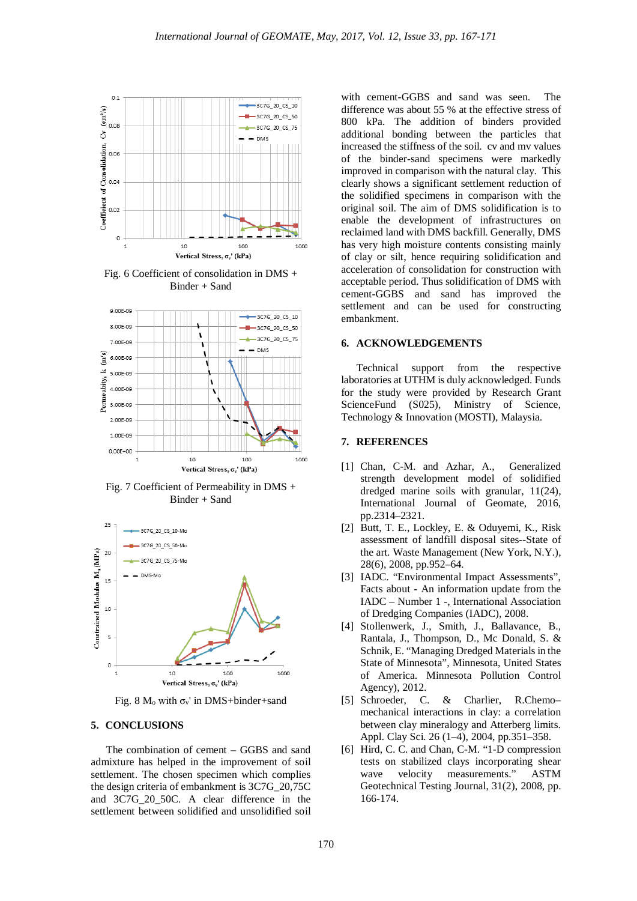

Fig. 6 Coefficient of consolidation in DMS + Binder + Sand



Fig. 7 Coefficient of Permeability in DMS + Binder + Sand



Fig. 8  $M_0$  with  $\sigma_v$ ' in DMS+binder+sand

#### **5. CONCLUSIONS**

The combination of cement – GGBS and sand admixture has helped in the improvement of soil settlement. The chosen specimen which complies the design criteria of embankment is 3C7G\_20,75C and 3C7G\_20\_50C. A clear difference in the settlement between solidified and unsolidified soil

with cement-GGBS and sand was seen. The difference was about 55 % at the effective stress of 800 kPa. The addition of binders provided additional bonding between the particles that increased the stiffness of the soil. cv and mv values of the binder-sand specimens were markedly improved in comparison with the natural clay. This clearly shows a significant settlement reduction of the solidified specimens in comparison with the original soil. The aim of DMS solidification is to enable the development of infrastructures on reclaimed land with DMS backfill. Generally, DMS has very high moisture contents consisting mainly of clay or silt, hence requiring solidification and acceleration of consolidation for construction with acceptable period. Thus solidification of DMS with cement-GGBS and sand has improved the settlement and can be used for constructing embankment.

#### **6. ACKNOWLEDGEMENTS**

Technical support from the respective laboratories at UTHM is duly acknowledged. Funds for the study were provided by Research Grant ScienceFund (S025), Ministry of Science, Technology & Innovation (MOSTI), Malaysia.

### **7. REFERENCES**

- [1] Chan, C-M. and Azhar, A., Generalized strength development model of solidified dredged marine soils with granular, 11(24), International Journal of Geomate, 2016, pp.2314–2321.
- [2] Butt, T. E., Lockley, E. & Oduyemi, K., Risk assessment of landfill disposal sites--State of the art. Waste Management (New York, N.Y.), 28(6), 2008, pp.952–64.
- [3] IADC. "Environmental Impact Assessments", Facts about - An information update from the IADC – Number 1 -, International Association of Dredging Companies (IADC), 2008.
- [4] Stollenwerk, J., Smith, J., Ballavance, B., Rantala, J., Thompson, D., Mc Donald, S. & Schnik, E. "Managing Dredged Materials in the State of Minnesota", Minnesota, United States of America. Minnesota Pollution Control Agency), 2012.
- [5] Schroeder, C. & Charlier, R.Chemo– mechanical interactions in clay: a correlation between clay mineralogy and Atterberg limits. Appl. Clay Sci. 26 (1–4), 2004, pp.351–358.
- [6] Hird, C. C. and Chan, C-M. "1-D compression tests on stabilized clays incorporating shear wave velocity measurements." ASTM Geotechnical Testing Journal, 31(2), 2008, pp. 166-174.